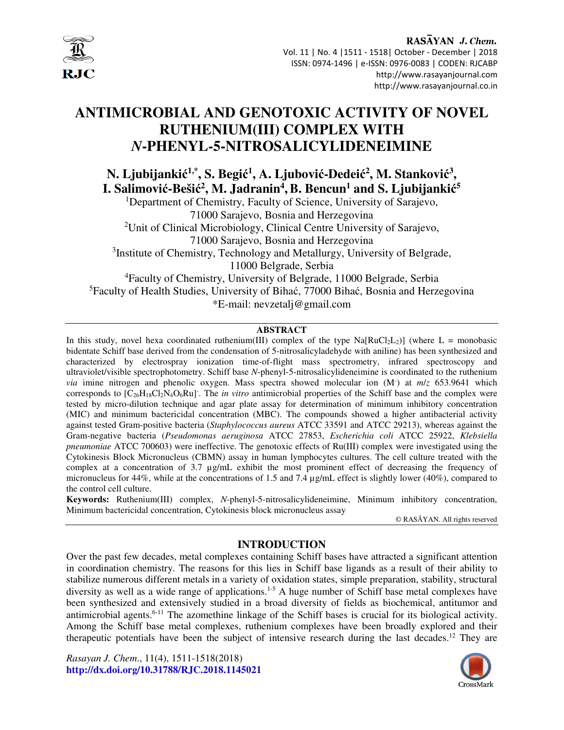

RASAYAN J. Chem. Vol. 11 | No. 4 |1511 - 1518| October - December | 2018 ISSN: 0974-1496 | e-ISSN: 0976-0083 | CODEN: RJCABP http://www.rasayanjournal.com http://www.rasayanjournal.co.in

# **ANTIMICROBIAL AND GENOTOXIC ACTIVITY OF NOVEL RUTHENIUM(III) COMPLEX WITH**  *N***-PHENYL-5-NITROSALICYLIDENEIMINE**

 $N$ . Ljubijankić<sup>1,\*</sup>, S. Begić<sup>1</sup>, A. Ljubović-Dedeić<sup>2</sup>, M. Stanković<sup>3</sup>, **I. Salimović-Bešić<sup>2</sup>, M. Jadranin<sup>4</sup>, B. Bencun<sup>1</sup> and S. Ljubijankić<sup>5</sup>** 

<sup>1</sup>Department of Chemistry, Faculty of Science, University of Sarajevo, 71000 Sarajevo, Bosnia and Herzegovina <sup>2</sup>Unit of Clinical Microbiology, Clinical Centre University of Sarajevo, 71000 Sarajevo, Bosnia and Herzegovina <sup>3</sup>Institute of Chemistry, Technology and Metallurgy, University of Belgrade, 11000 Belgrade, Serbia <sup>4</sup>Faculty of Chemistry, University of Belgrade, 11000 Belgrade, Serbia <sup>5</sup>Faculty of Health Studies, University of Bihać, 77000 Bihać, Bosnia and Herzegovina \*E-mail: nevzetalj@gmail.com

#### **ABSTRACT**

In this study, novel hexa coordinated ruthenium(III) complex of the type  $Na[RuCl<sub>2</sub>L<sub>2</sub>)]$  (where L = monobasic bidentate Schiff base derived from the condensation of 5-nitrosalicyladehyde with aniline) has been synthesized and characterized by electrospray ionization time-of-flight mass spectrometry, infrared spectroscopy and ultraviolet/visible spectrophotometry. Schiff base *N*-phenyl-5-nitrosalicylideneimine is coordinated to the ruthenium *via* imine nitrogen and phenolic oxygen. Mass spectra showed molecular ion (M- ) at *m*/*z* 653.9641 which corresponds to [C<sub>26</sub>H<sub>18</sub>Cl<sub>2</sub>N<sub>4</sub>O<sub>6</sub>Ru]<sup>-</sup>. The *in vitro* antimicrobial properties of the Schiff base and the complex were tested by micro-dilution technique and agar plate assay for determination of minimum inhibitory concentration (MIC) and minimum bactericidal concentration (MBC). The compounds showed a higher antibacterial activity against tested Gram-positive bacteria (*Staphylococcus aureus* ATCC 33591 and ATCC 29213), whereas against the Gram-negative bacteria (*Pseudomonas aeruginosa* ATCC 27853, *Escherichia coli* ATCC 25922, *Klebsiella pneumoniae* ATCC 700603) were ineffective. The genotoxic effects of Ru(III) complex were investigated using the Cytokinesis Block Micronucleus (CBMN) assay in human lymphocytes cultures. The cell culture treated with the complex at a concentration of 3.7 µg/mL exhibit the most prominent effect of decreasing the frequency of micronucleus for 44%, while at the concentrations of 1.5 and 7.4  $\mu$ g/mL effect is slightly lower (40%), compared to the control cell culture.

**Keywords:** Ruthenium(III) complex, *N*-phenyl-5-nitrosalicylideneimine, Minimum inhibitory concentration, Minimum bactericidal concentration, Cytokinesis block micronucleus assay

© RASĀYAN. All rights reserved

## **INTRODUCTION**

Over the past few decades, metal complexes containing Schiff bases have attracted a significant attention in coordination chemistry. The reasons for this lies in Schiff base ligands as a result of their ability to stabilize numerous different metals in a variety of oxidation states, simple preparation, stability, structural diversity as well as a wide range of applications.<sup>1-5</sup> A huge number of Schiff base metal complexes have been synthesized and extensively studied in a broad diversity of fields as biochemical, antitumor and antimicrobial agents.6-11 The azomethine linkage of the Schiff bases is crucial for its biological activity. Among the Schiff base metal complexes, ruthenium complexes have been broadly explored and their therapeutic potentials have been the subject of intensive research during the last decades.12 They are

*Rasayan J. Chem*., 11(4), 1511-1518(2018) **http://dx.doi.org/10.31788/RJC.2018.1145021**

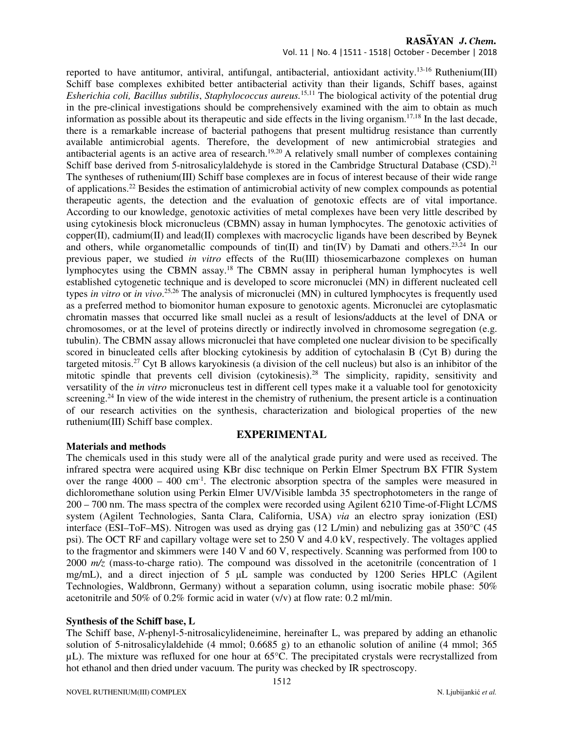Vol. 11 | No. 4 |1511 - 1518| October - December | 2018

reported to have antitumor, antiviral, antifungal, antibacterial, antioxidant activity.<sup>13-16</sup> Ruthenium(III) Schiff base complexes exhibited better antibacterial activity than their ligands, Schiff bases, against *Esherichia coli, Bacillus subtilis*, *Staphylococcus aureus.*15,11 The biological activity of the potential drug in the pre-clinical investigations should be comprehensively examined with the aim to obtain as much information as possible about its therapeutic and side effects in the living organism.17,18 In the last decade, there is a remarkable increase of bacterial pathogens that present multidrug resistance than currently available antimicrobial agents. Therefore, the development of new antimicrobial strategies and antibacterial agents is an active area of research.<sup>19,20</sup> A relatively small number of complexes containing Schiff base derived from 5-nitrosalicylaldehyde is stored in the Cambridge Structural Database (CSD).<sup>21</sup> The syntheses of ruthenium(III) Schiff base complexes are in focus of interest because of their wide range of applications.<sup>22</sup> Besides the estimation of antimicrobial activity of new complex compounds as potential therapeutic agents, the detection and the evaluation of genotoxic effects are of vital importance. According to our knowledge, genotoxic activities of metal complexes have been very little described by using cytokinesis block micronucleus (CBMN) assay in human lymphocytes. The genotoxic activities of  $copper(II)$ , cadmium(II) and lead(II) complexes with macrocyclic ligands have been described by Beynek and others, while organometallic compounds of tin(II) and tin(IV) by Damati and others.<sup>23,24</sup> In our previous paper, we studied *in vitro* effects of the Ru(III) thiosemicarbazone complexes on human lymphocytes using the CBMN assay.<sup>18</sup> The CBMN assay in peripheral human lymphocytes is well established cytogenetic technique and is developed to score micronuclei (MN) in different nucleated cell types *in vitro* or *in vivo*. 25,26 The analysis of micronuclei (MN) in cultured lymphocytes is frequently used as a preferred method to biomonitor human exposure to genotoxic agents. Micronuclei are cytoplasmatic chromatin masses that occurred like small nuclei as a result of lesions/adducts at the level of DNA or chromosomes, or at the level of proteins directly or indirectly involved in chromosome segregation (e.g. tubulin). The CBMN assay allows micronuclei that have completed one nuclear division to be specifically scored in binucleated cells after blocking cytokinesis by addition of cytochalasin B (Cyt B) during the targeted mitosis.<sup>27</sup> Cyt B allows karyokinesis (a division of the cell nucleus) but also is an inhibitor of the mitotic spindle that prevents cell division (cytokinesis).<sup>28</sup> The simplicity, rapidity, sensitivity and versatility of the *in vitro* micronucleus test in different cell types make it a valuable tool for genotoxicity screening.<sup>24</sup> In view of the wide interest in the chemistry of ruthenium, the present article is a continuation of our research activities on the synthesis, characterization and biological properties of the new ruthenium(III) Schiff base complex.

## **Materials and methods**

### **EXPERIMENTAL**

The chemicals used in this study were all of the analytical grade purity and were used as received. The infrared spectra were acquired using KBr disc technique on Perkin Elmer Spectrum BX FTIR System over the range  $4000 - 400$  cm<sup>-1</sup>. The electronic absorption spectra of the samples were measured in dichloromethane solution using Perkin Elmer UV/Visible lambda 35 spectrophotometers in the range of 200 – 700 nm. The mass spectra of the complex were recorded using Agilent 6210 Time-of-Flight LC/MS system (Agilent Technologies, Santa Clara, California, USA) *via* an electro spray ionization (ESI) interface (ESI–ToF–MS). Nitrogen was used as drying gas (12 L/min) and nebulizing gas at 350°C (45 psi). The OCT RF and capillary voltage were set to 250 V and 4.0 kV, respectively. The voltages applied to the fragmentor and skimmers were 140 V and 60 V, respectively. Scanning was performed from 100 to 2000  $m/z$  (mass-to-charge ratio). The compound was dissolved in the acetonitrile (concentration of 1 mg/mL), and a direct injection of 5  $\mu$ L sample was conducted by 1200 Series HPLC (Agilent Technologies, Waldbronn, Germany) without a separation column, using isocratic mobile phase: 50% acetonitrile and 50% of 0.2% formic acid in water (v/v) at flow rate: 0.2 ml/min.

### **Synthesis of the Schiff base, L**

The Schiff base, *N*-phenyl-5-nitrosalicylideneimine, hereinafter L, was prepared by adding an ethanolic solution of 5-nitrosalicylaldehide (4 mmol; 0.6685 g) to an ethanolic solution of aniline (4 mmol; 365 µL). The mixture was refluxed for one hour at 65°C. The precipitated crystals were recrystallized from hot ethanol and then dried under vacuum. The purity was checked by IR spectroscopy.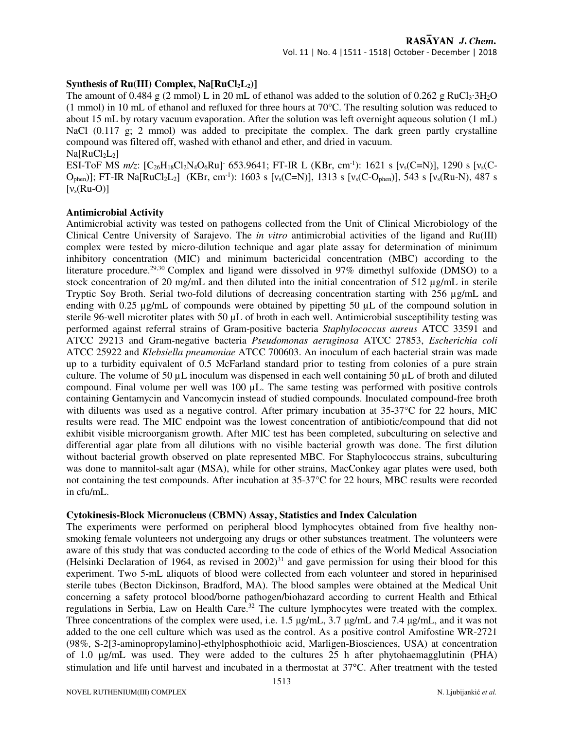## **Synthesis of Ru(III) Complex, Na[RuCl2L2)]**

The amount of 0.484 g (2 mmol) L in 20 mL of ethanol was added to the solution of 0.262 g RuCl<sub>3</sub>·3H<sub>2</sub>O (1 mmol) in 10 mL of ethanol and refluxed for three hours at 70°C. The resulting solution was reduced to about 15 mL by rotary vacuum evaporation. After the solution was left overnight aqueous solution (1 mL) NaCl (0.117 g; 2 mmol) was added to precipitate the complex. The dark green partly crystalline compound was filtered off, washed with ethanol and ether, and dried in vacuum.  $Na[RuCl<sub>2</sub>L<sub>2</sub>]$ 

ESI-ToF MS *m/z*: [C<sub>26</sub>H<sub>18</sub>Cl<sub>2</sub>N<sub>4</sub>O<sub>6</sub>Ru]<sup>-</sup> 653.9641; FT-IR L (KBr, cm<sup>-1</sup>): 1621 s [ν<sub>s</sub>(C=N)], 1290 s [ν<sub>s</sub>(C- $O_{\text{phen}}$ ]; FT-IR Na[RuCl<sub>2</sub>L<sub>2</sub>] (KBr, cm<sup>-1</sup>): 1603 s [v<sub>s</sub>(C=N)], 1313 s [v<sub>s</sub>(C-O<sub>phen</sub>)], 543 s [v<sub>s</sub>(Ru-N), 487 s  $[v_s(Ru-O)]$ 

### **Antimicrobial Activity**

Antimicrobial activity was tested on pathogens collected from the Unit of Clinical Microbiology of the Clinical Centre University of Sarajevo. The *in vitro* antimicrobial activities of the ligand and Ru(III) complex were tested by micro-dilution technique and agar plate assay for determination of minimum inhibitory concentration (MIC) and minimum bactericidal concentration (MBC) according to the literature procedure.<sup>29,30</sup> Complex and ligand were dissolved in 97% dimethyl sulfoxide (DMSO) to a stock concentration of 20 mg/mL and then diluted into the initial concentration of 512 µg/mL in sterile Tryptic Soy Broth. Serial two-fold dilutions of decreasing concentration starting with 256 µg/mL and ending with 0.25 µg/mL of compounds were obtained by pipetting 50 µL of the compound solution in sterile 96-well microtiter plates with 50  $\mu$ L of broth in each well. Antimicrobial susceptibility testing was performed against referral strains of Gram-positive bacteria *Staphylococcus aureus* ATCC 33591 and ATCC 29213 and Gram-negative bacteria *Pseudomonas aeruginosa* ATCC 27853, *Escherichia coli* ATCC 25922 and *Klebsiella pneumoniae* ATCC 700603. An inoculum of each bacterial strain was made up to a turbidity equivalent of 0.5 McFarland standard prior to testing from colonies of a pure strain culture. The volume of 50 µL inoculum was dispensed in each well containing 50 µL of broth and diluted compound. Final volume per well was 100 µL. The same testing was performed with positive controls containing Gentamycin and Vancomycin instead of studied compounds. Inoculated compound-free broth with diluents was used as a negative control. After primary incubation at 35-37°C for 22 hours, MIC results were read. The MIC endpoint was the lowest concentration of antibiotic/compound that did not exhibit visible microorganism growth. After MIC test has been completed, subculturing on selective and differential agar plate from all dilutions with no visible bacterial growth was done. The first dilution without bacterial growth observed on plate represented MBC. For Staphylococcus strains, subculturing was done to mannitol-salt agar (MSA), while for other strains, MacConkey agar plates were used, both not containing the test compounds. After incubation at 35-37°C for 22 hours, MBC results were recorded in cfu/mL.

### **Cytokinesis-Block Micronucleus (CBMN) Assay, Statistics and Index Calculation**

The experiments were performed on peripheral blood lymphocytes obtained from five healthy nonsmoking female volunteers not undergoing any drugs or other substances treatment. The volunteers were aware of this study that was conducted according to the code of ethics of the World Medical Association (Helsinki Declaration of 1964, as revised in  $2002$ )<sup>31</sup> and gave permission for using their blood for this experiment. Two 5-mL aliquots of blood were collected from each volunteer and stored in heparinised sterile tubes (Becton Dickinson, Bradford, MA). The blood samples were obtained at the Medical Unit concerning a safety protocol blood/borne pathogen/biohazard according to current Health and Ethical regulations in Serbia, Law on Health Care.<sup>32</sup> The culture lymphocytes were treated with the complex. Three concentrations of the complex were used, i.e. 1.5 µg/mL, 3.7 µg/mL and 7.4 µg/mL, and it was not added to the one cell culture which was used as the control. As a positive control Amifostine WR-2721 (98%, S-2[3-aminopropylamino]-ethylphosphothioic acid, Marligen-Biosciences, USA) at concentration of 1.0 µg/mL was used. They were added to the cultures 25 h after phytohaemagglutinin (PHA) stimulation and life until harvest and incubated in a thermostat at 37°C. After treatment with the tested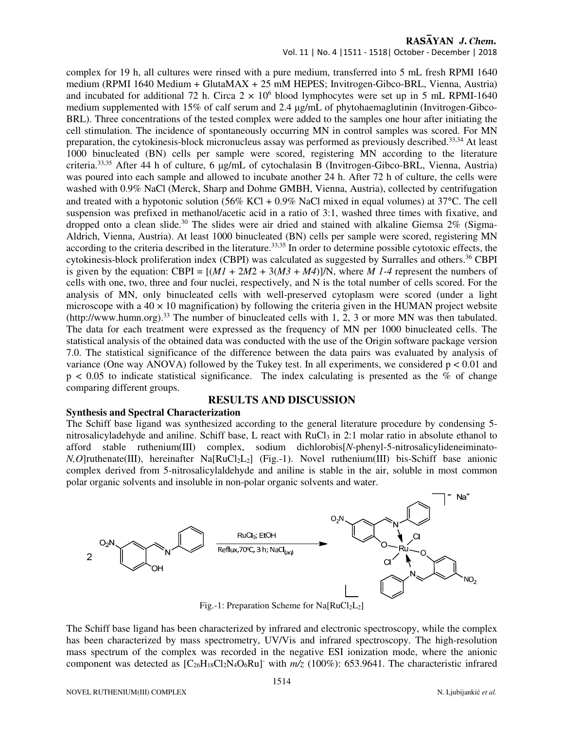Vol. 11 | No. 4 |1511 - 1518| October - December | 2018

complex for 19 h, all cultures were rinsed with a pure medium, transferred into 5 mL fresh RPMI 1640 medium (RPMI 1640 Medium + GlutaMAX + 25 mM HEPES; Invitrogen-Gibco-BRL, Vienna, Austria) and incubated for additional 72 h. Circa  $2 \times 10^6$  blood lymphocytes were set up in 5 mL RPMI-1640 medium supplemented with 15% of calf serum and 2.4 µg/mL of phytohaemaglutinin (Invitrogen-Gibco-BRL). Three concentrations of the tested complex were added to the samples one hour after initiating the cell stimulation. The incidence of spontaneously occurring MN in control samples was scored. For MN preparation, the cytokinesis-block micronucleus assay was performed as previously described.33,34 At least 1000 binucleated (BN) cells per sample were scored, registering MN according to the literature criteria.33,35 After 44 h of culture, 6 µg/mL of cytochalasin B (Invitrogen-Gibco-BRL, Vienna, Austria) was poured into each sample and allowed to incubate another 24 h. After 72 h of culture, the cells were washed with 0.9% NaCl (Merck, Sharp and Dohme GMBH, Vienna, Austria), collected by centrifugation and treated with a hypotonic solution  $(56\%$  KCl + 0.9% NaCl mixed in equal volumes) at  $37^{\circ}$ C. The cell suspension was prefixed in methanol/acetic acid in a ratio of 3:1, washed three times with fixative, and dropped onto a clean slide.<sup>30</sup> The slides were air dried and stained with alkaline Giemsa 2% (Sigma-Aldrich, Vienna, Austria). At least 1000 binucleated (BN) cells per sample were scored, registering MN according to the criteria described in the literature.<sup>33,35</sup> In order to determine possible cytotoxic effects, the cytokinesis-block proliferation index (CBPI) was calculated as suggested by Surralles and others.<sup>36</sup> CBPI is given by the equation: CBPI =  $[(M1 + 2M2 + 3(M3 + M4))$ /N, where *M 1-4* represent the numbers of cells with one, two, three and four nuclei, respectively, and N is the total number of cells scored. For the analysis of MN, only binucleated cells with well-preserved cytoplasm were scored (under a light microscope with a  $40 \times 10$  magnification) by following the criteria given in the HUMAN project website (http://www.humn.org).<sup>33</sup> The number of binucleated cells with 1, 2, 3 or more MN was then tabulated. The data for each treatment were expressed as the frequency of MN per 1000 binucleated cells. The statistical analysis of the obtained data was conducted with the use of the Origin software package version 7.0. The statistical significance of the difference between the data pairs was evaluated by analysis of variance (One way ANOVA) followed by the Tukey test. In all experiments, we considered  $p < 0.01$  and  $p < 0.05$  to indicate statistical significance. The index calculating is presented as the % of change comparing different groups.

## **RESULTS AND DISCUSSION**

## **Synthesis and Spectral Characterization**

The Schiff base ligand was synthesized according to the general literature procedure by condensing 5 nitrosalicyladehyde and aniline. Schiff base, L react with  $RuCl<sub>3</sub>$  in 2:1 molar ratio in absolute ethanol to afford stable ruthenium(III) complex, sodium dichlorobis[*N*-phenyl-5-nitrosalicylideneiminato- $N, O$ ]ruthenate(III), hereinafter Na[RuCl<sub>2</sub>L<sub>2</sub>] (Fig.-1). Novel ruthenium(III) bis-Schiff base anionic complex derived from 5-nitrosalicylaldehyde and aniline is stable in the air, soluble in most common polar organic solvents and insoluble in non-polar organic solvents and water.



The Schiff base ligand has been characterized by infrared and electronic spectroscopy, while the complex has been characterized by mass spectrometry, UV/Vis and infrared spectroscopy. The high-resolution mass spectrum of the complex was recorded in the negative ESI ionization mode, where the anionic component was detected as  $[C_{26}H_{18}Cl_2N_4O_6Ru]$  with  $m/z$  (100%): 653.9641. The characteristic infrared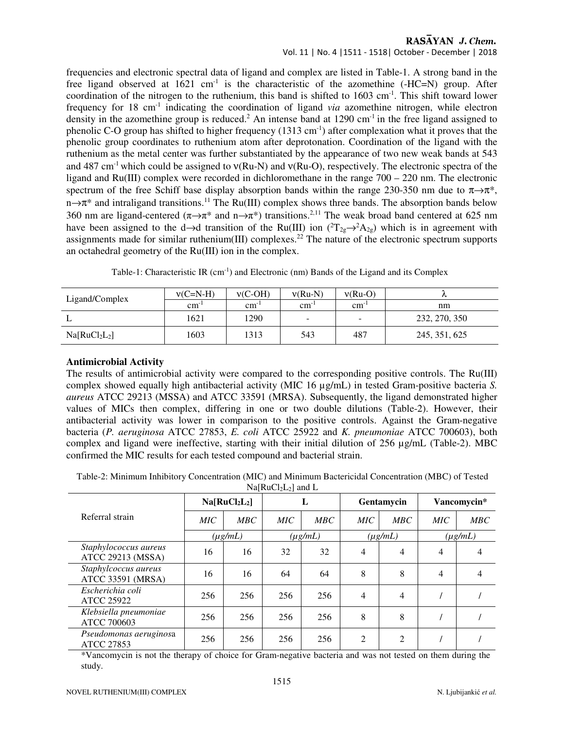Vol. 11 | No. 4 |1511 - 1518| October - December | 2018

frequencies and electronic spectral data of ligand and complex are listed in Table-1. A strong band in the free ligand observed at  $1621 \text{ cm}^{-1}$  is the characteristic of the azomethine (-HC=N) group. After coordination of the nitrogen to the ruthenium, this band is shifted to  $1603 \text{ cm}^{-1}$ . This shift toward lower frequency for 18 cm<sup>-1</sup> indicating the coordination of ligand *via* azomethine nitrogen, while electron density in the azomethine group is reduced.<sup>2</sup> An intense band at  $1290 \text{ cm}^{-1}$  in the free ligand assigned to phenolic C-O group has shifted to higher frequency (1313 cm-1) after complexation what it proves that the phenolic group coordinates to ruthenium atom after deprotonation. Coordination of the ligand with the ruthenium as the metal center was further substantiated by the appearance of two new weak bands at 543 and 487 cm<sup>-1</sup> which could be assigned to  $v(Ru-N)$  and  $v(Ru-O)$ , respectively. The electronic spectra of the ligand and Ru(III) complex were recorded in dichloromethane in the range 700 – 220 nm. The electronic spectrum of the free Schiff base display absorption bands within the range 230-350 nm due to  $\pi \rightarrow \pi^*$ ,  $n \rightarrow \pi^*$  and intraligand transitions.<sup>11</sup> The Ru(III) complex shows three bands. The absorption bands below 360 nm are ligand-centered ( $\pi \rightarrow \pi^*$  and  $n \rightarrow \pi^*$ ) transitions.<sup>2,11</sup> The weak broad band centered at 625 nm have been assigned to the d→d transition of the Ru(III) ion  $(^{2}T_{2g} \rightarrow ^{2}A_{2g})$  which is in agreement with assignments made for similar ruthenium(III) complexes.<sup>22</sup> The nature of the electronic spectrum supports an octahedral geometry of the Ru(III) ion in the complex.

| Table-1: Characteristic IR (cm <sup>-1</sup> ) and Electronic (nm) Bands of the Ligand and its Complex |  |  |  |  |  |  |  |
|--------------------------------------------------------------------------------------------------------|--|--|--|--|--|--|--|
|--------------------------------------------------------------------------------------------------------|--|--|--|--|--|--|--|

| Ligand/Complex                        | $v(C=N-H)$       | $v(C-OH)$       | $v(Ru-N)$ | $v(Ru-O)$       |               |
|---------------------------------------|------------------|-----------------|-----------|-----------------|---------------|
|                                       | $\text{cm}^{-1}$ | $\text{cm}^{-}$ | $cm^{-}$  | cm <sup>2</sup> | nm            |
|                                       | 1621             | 1290            | -         | -               | 232, 270, 350 |
| Na[RuCl <sub>2</sub> L <sub>2</sub> ] | 1603             | 1313            | 543       | 487             | 245, 351, 625 |

#### **Antimicrobial Activity**

The results of antimicrobial activity were compared to the corresponding positive controls. The Ru(III) complex showed equally high antibacterial activity (MIC 16 µg/mL) in tested Gram-positive bacteria *S. aureus* ATCC 29213 (MSSA) and ATCC 33591 (MRSA). Subsequently, the ligand demonstrated higher values of MICs then complex, differing in one or two double dilutions (Table-2). However, their antibacterial activity was lower in comparison to the positive controls. Against the Gram-negative bacteria (*P. aeruginosa* ATCC 27853, *E. coli* ATCC 25922 and *K. pneumoniae* ATCC 700603), both complex and ligand were ineffective, starting with their initial dilution of 256  $\mu$ g/mL (Table-2). MBC confirmed the MIC results for each tested compound and bacterial strain.

Table-2: Minimum Inhibitory Concentration (MIC) and Minimum Bactericidal Concentration (MBC) of Tested  $Na$ [ $Ru$  $Cl_2$ ] and  $L$ 

| $1$ and $1$ and $1/2$ and $1/2$                   |                                       |     |              |     |              |                |              |     |
|---------------------------------------------------|---------------------------------------|-----|--------------|-----|--------------|----------------|--------------|-----|
|                                                   | Na[RuCl <sub>2</sub> L <sub>2</sub> ] |     | L            |     | Gentamycin   |                | Vancomycin*  |     |
| Referral strain                                   | MIC                                   | MBC | MIC          | MBC | MIC          | MBC            | MIC          | MBC |
|                                                   | $(\mu g/mL)$                          |     | $(\mu g/mL)$ |     | $(\mu g/mL)$ |                | $(\mu g/mL)$ |     |
| Staphylococcus aureus<br><b>ATCC 29213 (MSSA)</b> | 16                                    | 16  | 32           | 32  | 4            | $\overline{4}$ | 4            | 4   |
| Staphylcoccus aureus<br><b>ATCC 33591 (MRSA)</b>  | 16                                    | 16  | 64           | 64  | 8            | 8              | 4            | 4   |
| Escherichia coli<br><b>ATCC 25922</b>             | 256                                   | 256 | 256          | 256 | 4            | 4              |              |     |
| Klebsiella pneumoniae<br>ATCC 700603              | 256                                   | 256 | 256          | 256 | 8            | 8              |              |     |
| Pseudomonas aeruginosa<br>ATCC 27853              | 256                                   | 256 | 256          | 256 | 2            | $\overline{2}$ |              |     |

\*Vancomycin is not the therapy of choice for Gram-negative bacteria and was not tested on them during the study.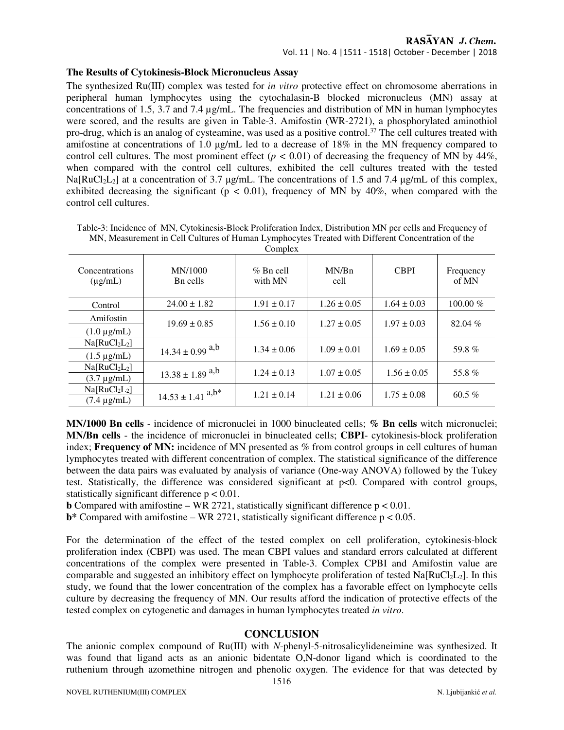## Vol. 11 | No. 4 |1511 - 1518| October - December | 2018

### **The Results of Cytokinesis-Block Micronucleus Assay**

The synthesized Ru(III) complex was tested for *in vitro* protective effect on chromosome aberrations in peripheral human lymphocytes using the cytochalasin-B blocked micronucleus (MN) assay at concentrations of 1.5, 3.7 and 7.4 µg/mL. The frequencies and distribution of MN in human lymphocytes were scored, and the results are given in Table-3. Amifostin (WR-2721), a phosphorylated aminothiol pro-drug, which is an analog of cysteamine, was used as a positive control.<sup>37</sup> The cell cultures treated with amifostine at concentrations of 1.0 µg/mL led to a decrease of 18% in the MN frequency compared to control cell cultures. The most prominent effect  $(p < 0.01)$  of decreasing the frequency of MN by 44%, when compared with the control cell cultures, exhibited the cell cultures treated with the tested Na[RuCl<sub>2</sub>L<sub>2</sub>] at a concentration of 3.7 µg/mL. The concentrations of 1.5 and 7.4 µg/mL of this complex, exhibited decreasing the significant ( $p < 0.01$ ), frequency of MN by 40%, when compared with the control cell cultures.

| Concentrations<br>$(\mu g/mL)$                              | MN/1000<br>Bn cells             | $%$ Bn cell<br>with MN | MN/B <sub>n</sub><br>cell | <b>CBPI</b>     | Frequency<br>of MN |
|-------------------------------------------------------------|---------------------------------|------------------------|---------------------------|-----------------|--------------------|
| Control                                                     | $24.00 \pm 1.82$                | $1.91 \pm 0.17$        | $1.26 \pm 0.05$           | $1.64 \pm 0.03$ | $100.00\%$         |
| Amifostin<br>$(1.0 \mu g/mL)$                               | $19.69 \pm 0.85$                | $1.56 \pm 0.10$        | $1.27 \pm 0.05$           | $1.97 \pm 0.03$ | 82.04 %            |
| Na[RuCl <sub>2</sub> L <sub>2</sub> ]<br>$(1.5 \mu g/mL)$   | $14.34 \pm 0.99$ <sup>a,b</sup> | $1.34 \pm 0.06$        | $1.09 \pm 0.01$           | $1.69 \pm 0.05$ | 59.8%              |
| Na[RuCl <sub>2</sub> L <sub>2</sub> ]<br>$(3.7 \,\mu g/mL)$ | $13.38 \pm 1.89$ <sup>a,b</sup> | $1.24 \pm 0.13$        | $1.07 \pm 0.05$           | $1.56 \pm 0.05$ | 55.8%              |
| Na[RuCl <sub>2</sub> L <sub>2</sub> ]<br>$(7.4 \mu g/mL)$   | $a,b^*$<br>$14.53 \pm 1.41$     | $1.21 \pm 0.14$        | $1.21 \pm 0.06$           | $1.75 \pm 0.08$ | 60.5 %             |

Table-3: Incidence of MN, Cytokinesis-Block Proliferation Index, Distribution MN per cells and Frequency of MN, Measurement in Cell Cultures of Human Lymphocytes Treated with Different Concentration of the Complex

**MN/1000 Bn cells** - incidence of micronuclei in 1000 binucleated cells; **% Bn cells** witch micronuclei; **MN/Bn cells** - the incidence of micronuclei in binucleated cells; **CBPI**- cytokinesis-block proliferation index; **Frequency of MN:** incidence of MN presented as % from control groups in cell cultures of human lymphocytes treated with different concentration of complex. The statistical significance of the difference between the data pairs was evaluated by analysis of variance (One-way ANOVA) followed by the Tukey test. Statistically, the difference was considered significant at p<0. Compared with control groups, statistically significant difference p < 0.01.

**b** Compared with amifostine – WR 2721, statistically significant difference p < 0.01.

**b\*** Compared with amifostine – WR 2721, statistically significant difference p < 0.05.

For the determination of the effect of the tested complex on cell proliferation, cytokinesis-block proliferation index (CBPI) was used. The mean CBPI values and standard errors calculated at different concentrations of the complex were presented in Table-3. Complex CPBI and Amifostin value are comparable and suggested an inhibitory effect on lymphocyte proliferation of tested  $Na[RuCl<sub>2</sub>L<sub>2</sub>]$ . In this study, we found that the lower concentration of the complex has a favorable effect on lymphocyte cells culture by decreasing the frequency of MN. Our results afford the indication of protective effects of the tested complex on cytogenetic and damages in human lymphocytes treated *in vitro*.

## **CONCLUSION**

The anionic complex compound of Ru(III) with *N*-phenyl-5-nitrosalicylideneimine was synthesized. It was found that ligand acts as an anionic bidentate O,N-donor ligand which is coordinated to the ruthenium through azomethine nitrogen and phenolic oxygen. The evidence for that was detected by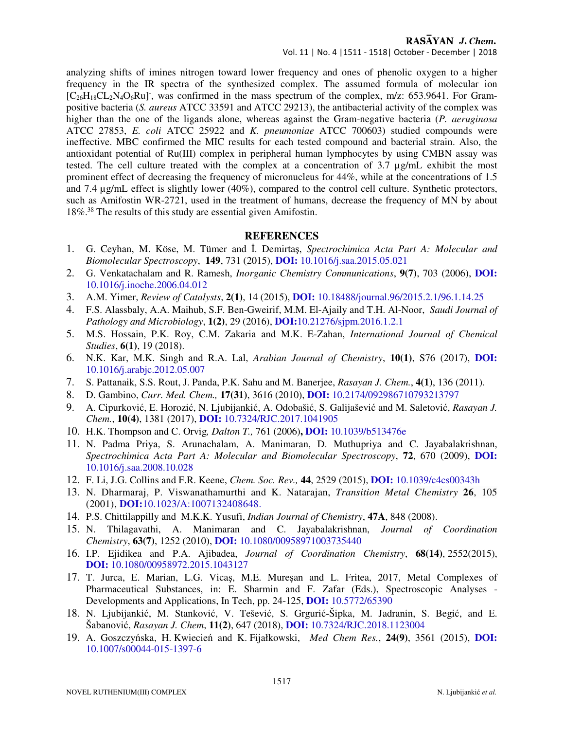Vol. 11 | No. 4 |1511 - 1518| October - December | 2018

analyzing shifts of imines nitrogen toward lower frequency and ones of phenolic oxygen to a higher frequency in the IR spectra of the synthesized complex. The assumed formula of molecular ion [C<sub>26</sub>H<sub>18</sub>CL<sub>2</sub>N<sub>4</sub>O<sub>6</sub>Ru]<sup>-</sup>, was confirmed in the mass spectrum of the complex, m/z: 653.9641. For Grampositive bacteria (*S. aureus* ATCC 33591 and ATCC 29213), the antibacterial activity of the complex was higher than the one of the ligands alone, whereas against the Gram-negative bacteria (*P. aeruginosa* ATCC 27853, *E. coli* ATCC 25922 and *K. pneumoniae* ATCC 700603) studied compounds were ineffective. MBC confirmed the MIC results for each tested compound and bacterial strain. Also, the antioxidant potential of Ru(III) complex in peripheral human lymphocytes by using CMBN assay was tested. The cell culture treated with the complex at a concentration of 3.7 µg/mL exhibit the most prominent effect of decreasing the frequency of micronucleus for 44%, while at the concentrations of 1.5 and 7.4 µg/mL effect is slightly lower (40%), compared to the control cell culture. Synthetic protectors, such as Amifostin WR-2721, used in the treatment of humans, decrease the frequency of MN by about 18%.<sup>38</sup> The results of this study are essential given Amifostin.

## **REFERENCES**

- 1. G. Ceyhan, M. Köse, M. Tümer and İ. Demirtaş, *Spectrochimica Acta Part A: Molecular and Biomolecular Spectroscopy*, **149**, 731 (2015), **DOI:** 10.1016/j.saa.2015.05.021
- 2. G. Venkatachalam and R. Ramesh, *Inorganic Chemistry Communications*, **9(7)**, 703 (2006), **DOI:** 10.1016/j.inoche.2006.04.012
- 3. A.M. Yimer, *Review of Catalysts*, **2(1)**, 14 (2015), **DOI:** 10.18488/journal.96/2015.2.1/96.1.14.25
- 4. F.S. Alassbaly, A.A. Maihub, S.F. Ben-Gweirif, M.M. El-Ajaily and T.H. Al-Noor, *Saudi Journal of Pathology and Microbiology*, **1(2)**, 29 (2016), **DOI:**10.21276/sjpm.2016.1.2.1
- 5. M.S. Hossain, P.K. Roy, C.M. Zakaria and M.K. E-Zahan, *International Journal of Chemical Studies*, **6(1)**, 19 (2018).
- 6. N.K. Kar, M.K. Singh and R.A. Lal, *Arabian Journal of Chemistry*, **10(1)**, S76 (2017), **DOI:** 10.1016/j.arabjc.2012.05.007
- 7. S. Pattanaik, S.S. Rout, J. Panda, P.K. Sahu and M. Banerjee, *Rasayan J. Chem.*, **4(1)**, 136 (2011).
- 8. D. Gambino, *Curr. Med. Chem.,* **17(31)**, 3616 (2010), **DOI:** 10.2174/092986710793213797
- 9. A. Cipurković, E. Horozić, N. Ljubijankić, A. Odobašić, S. Galijašević and M. Saletović, *Rasayan J. Chem.*, **10(4)**, 1381 (2017), **DOI:** 10.7324/RJC.2017.1041905
- 10. H.K. Thompson and C. Orvig*, Dalton T.,* 761 (2006)**, DOI:** 10.1039/b513476e
- 11. N. Padma Priya, S. Arunachalam, A. Manimaran, D. Muthupriya and C. Jayabalakrishnan, *Spectrochimica Acta Part A: Molecular and Biomolecular Spectroscopy*, **72**, 670 (2009), **DOI:** 10.1016/j.saa.2008.10.028
- 12. F. Li, J.G. Collins and F.R. Keene, *Chem. Soc. Rev.,* **44**, 2529 (2015), **DOI:** 10.1039/c4cs00343h
- 13. N. Dharmaraj, P. Viswanathamurthi and K. Natarajan, *Transition Metal Chemistry* **26**, 105 (2001), **DOI:**10.1023/A:1007132408648.
- 14. P.S. Chittilappilly and M.K.K. Yusufi, *Indian Journal of Chemistry*, **47A**, 848 (2008).
- 15. N. Thilagavathi, A. Manimaran and C. Jayabalakrishnan, *Journal of Coordination Chemistry*, **63(7)**, 1252 (2010), **DOI:** 10.1080/00958971003735440
- 16. I.P. Ejidikea and P.A. Ajibadea, *Journal of Coordination Chemistry*, **68(14)**, 2552(2015), **DOI:** 10.1080/00958972.2015.1043127
- 17. T. Jurca, E. Marian, L.G. Vicaş, M.E. Mureşan and L. Fritea, 2017, Metal Complexes of Pharmaceutical Substances, in: E. Sharmin and F. Zafar (Eds.), Spectroscopic Analyses - Developments and Applications, In Tech, pp. 24-125, **DOI:** 10.5772/65390
- 18. N. Ljubijankić, M. Stanković, V. Tešević, S. Grgurić-Šipka, M. Jadranin, S. Begić, and E. Šabanović, *Rasayan J. Chem*, **11(2)**, 647 (2018), **DOI:** 10.7324/RJC.2018.1123004
- 19. A. Goszczyńska, H. Kwiecień and K. Fijałkowski, *Med Chem Res.*, **24(9)**, 3561 (2015), **DOI:** 10.1007/s00044-015-1397-6